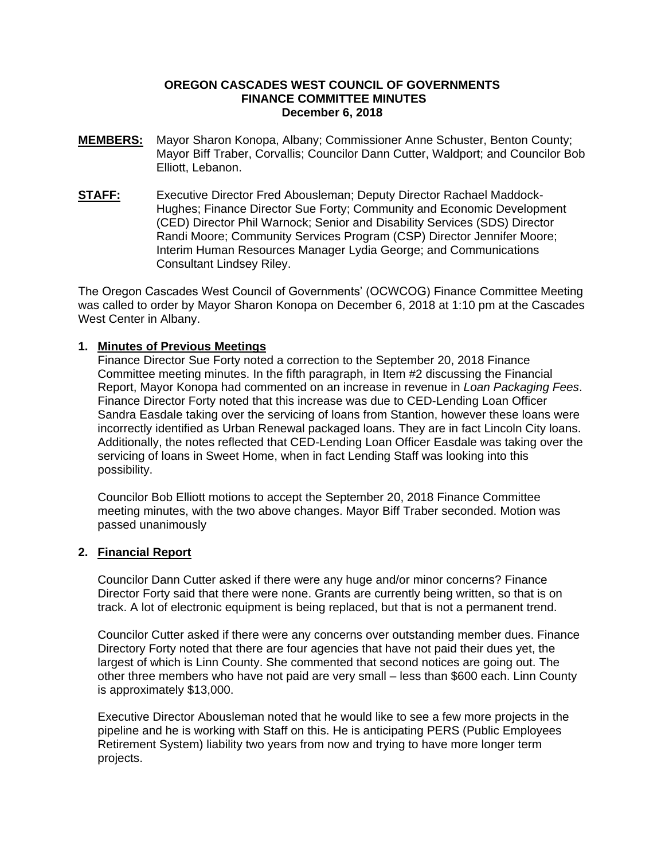#### **OREGON CASCADES WEST COUNCIL OF GOVERNMENTS FINANCE COMMITTEE MINUTES December 6, 2018**

- **MEMBERS:** Mayor Sharon Konopa, Albany; Commissioner Anne Schuster, Benton County; Mayor Biff Traber, Corvallis; Councilor Dann Cutter, Waldport; and Councilor Bob Elliott, Lebanon.
- **STAFF:** Executive Director Fred Abousleman; Deputy Director Rachael Maddock-Hughes; Finance Director Sue Forty; Community and Economic Development (CED) Director Phil Warnock; Senior and Disability Services (SDS) Director Randi Moore; Community Services Program (CSP) Director Jennifer Moore; Interim Human Resources Manager Lydia George; and Communications Consultant Lindsey Riley.

The Oregon Cascades West Council of Governments' (OCWCOG) Finance Committee Meeting was called to order by Mayor Sharon Konopa on December 6, 2018 at 1:10 pm at the Cascades West Center in Albany.

#### **1. Minutes of Previous Meetings**

Finance Director Sue Forty noted a correction to the September 20, 2018 Finance Committee meeting minutes. In the fifth paragraph, in Item #2 discussing the Financial Report, Mayor Konopa had commented on an increase in revenue in *Loan Packaging Fees*. Finance Director Forty noted that this increase was due to CED-Lending Loan Officer Sandra Easdale taking over the servicing of loans from Stantion, however these loans were incorrectly identified as Urban Renewal packaged loans. They are in fact Lincoln City loans. Additionally, the notes reflected that CED-Lending Loan Officer Easdale was taking over the servicing of loans in Sweet Home, when in fact Lending Staff was looking into this possibility.

Councilor Bob Elliott motions to accept the September 20, 2018 Finance Committee meeting minutes, with the two above changes. Mayor Biff Traber seconded. Motion was passed unanimously

#### **2. Financial Report**

Councilor Dann Cutter asked if there were any huge and/or minor concerns? Finance Director Forty said that there were none. Grants are currently being written, so that is on track. A lot of electronic equipment is being replaced, but that is not a permanent trend.

Councilor Cutter asked if there were any concerns over outstanding member dues. Finance Directory Forty noted that there are four agencies that have not paid their dues yet, the largest of which is Linn County. She commented that second notices are going out. The other three members who have not paid are very small – less than \$600 each. Linn County is approximately \$13,000.

Executive Director Abousleman noted that he would like to see a few more projects in the pipeline and he is working with Staff on this. He is anticipating PERS (Public Employees Retirement System) liability two years from now and trying to have more longer term projects.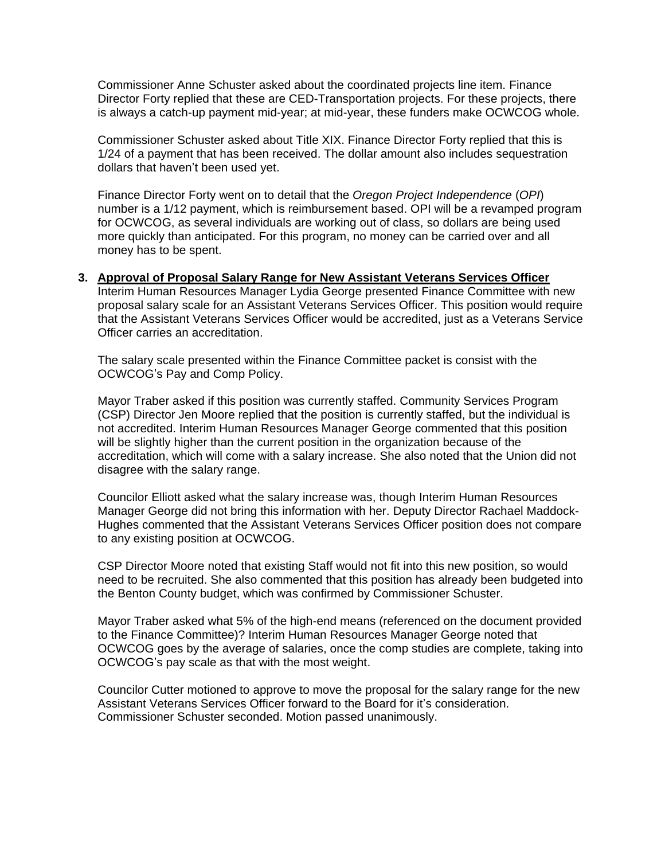Commissioner Anne Schuster asked about the coordinated projects line item. Finance Director Forty replied that these are CED-Transportation projects. For these projects, there is always a catch-up payment mid-year; at mid-year, these funders make OCWCOG whole.

Commissioner Schuster asked about Title XIX. Finance Director Forty replied that this is 1/24 of a payment that has been received. The dollar amount also includes sequestration dollars that haven't been used yet.

Finance Director Forty went on to detail that the *Oregon Project Independence* (*OPI*) number is a 1/12 payment, which is reimbursement based. OPI will be a revamped program for OCWCOG, as several individuals are working out of class, so dollars are being used more quickly than anticipated. For this program, no money can be carried over and all money has to be spent.

#### **3. Approval of Proposal Salary Range for New Assistant Veterans Services Officer**

Interim Human Resources Manager Lydia George presented Finance Committee with new proposal salary scale for an Assistant Veterans Services Officer. This position would require that the Assistant Veterans Services Officer would be accredited, just as a Veterans Service Officer carries an accreditation.

The salary scale presented within the Finance Committee packet is consist with the OCWCOG's Pay and Comp Policy.

Mayor Traber asked if this position was currently staffed. Community Services Program (CSP) Director Jen Moore replied that the position is currently staffed, but the individual is not accredited. Interim Human Resources Manager George commented that this position will be slightly higher than the current position in the organization because of the accreditation, which will come with a salary increase. She also noted that the Union did not disagree with the salary range.

Councilor Elliott asked what the salary increase was, though Interim Human Resources Manager George did not bring this information with her. Deputy Director Rachael Maddock-Hughes commented that the Assistant Veterans Services Officer position does not compare to any existing position at OCWCOG.

CSP Director Moore noted that existing Staff would not fit into this new position, so would need to be recruited. She also commented that this position has already been budgeted into the Benton County budget, which was confirmed by Commissioner Schuster.

Mayor Traber asked what 5% of the high-end means (referenced on the document provided to the Finance Committee)? Interim Human Resources Manager George noted that OCWCOG goes by the average of salaries, once the comp studies are complete, taking into OCWCOG's pay scale as that with the most weight.

Councilor Cutter motioned to approve to move the proposal for the salary range for the new Assistant Veterans Services Officer forward to the Board for it's consideration. Commissioner Schuster seconded. Motion passed unanimously.